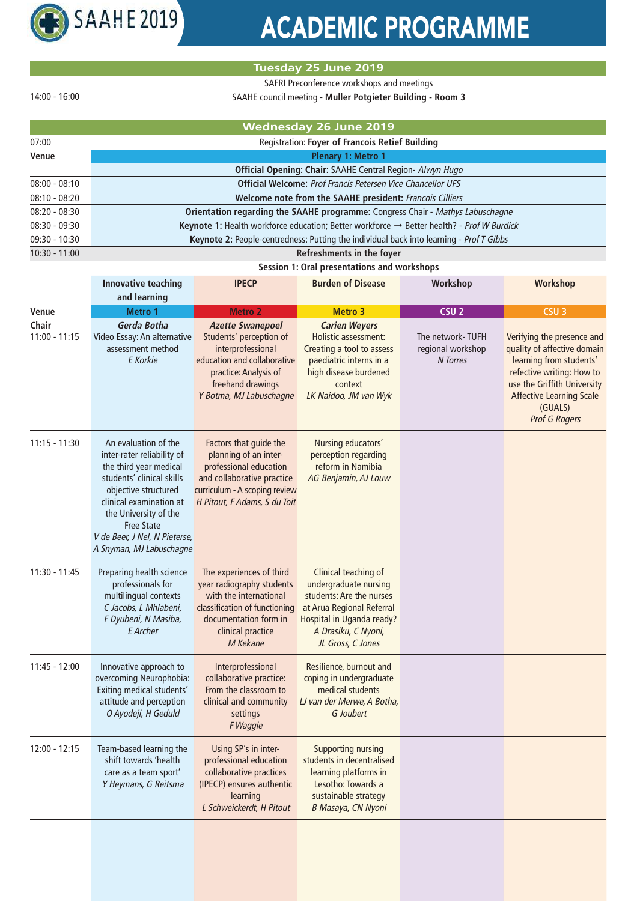

## ACADEMIC PROGRAMME

## **Tuesday 25 June 2019**

SAFRI Preconference workshops and meetings

14:00 - 16:00

07:00

| SAAHE council meeting - Muller Potgieter Building - Room 3 |  |
|------------------------------------------------------------|--|
| Wednesday 26 June 2019                                     |  |
| <b>Registration: Fover of Francois Retief Building</b>     |  |
| .                                                          |  |

| Venue           | <b>Plenary 1: Metro 1</b>                                                                             |  |  |
|-----------------|-------------------------------------------------------------------------------------------------------|--|--|
|                 | Official Opening: Chair: SAAHE Central Region- Alwyn Hugo                                             |  |  |
| $08:00 - 08:10$ | <b>Official Welcome: Prof Francis Petersen Vice Chancellor UFS</b>                                    |  |  |
| $08:10 - 08:20$ | Welcome note from the SAAHE president: Francois Cilliers                                              |  |  |
| $08:20 - 08:30$ | Orientation regarding the SAAHE programme: Congress Chair - Mathys Labuschagne                        |  |  |
| $08:30 - 09:30$ | Keynote 1: Health workforce education; Better workforce $\rightarrow$ Better health? - Prof W Burdick |  |  |
| $09:30 - 10:30$ | <b>Keynote 2: People-centredness: Putting the individual back into learning - Prof T Gibbs</b>        |  |  |
| 10:30 - 11:00   | Refreshments in the foyer                                                                             |  |  |

## **Session 1: Oral presentations and workshops**

|                 | <b>Innovative teaching</b><br>and learning                                                                                                                                                                                                                              | <b>IPECP</b>                                                                                                                                                               | <b>Burden of Disease</b>                                                                                                                                                               | Workshop                                          | Workshop                                                                                                                                                                                                               |
|-----------------|-------------------------------------------------------------------------------------------------------------------------------------------------------------------------------------------------------------------------------------------------------------------------|----------------------------------------------------------------------------------------------------------------------------------------------------------------------------|----------------------------------------------------------------------------------------------------------------------------------------------------------------------------------------|---------------------------------------------------|------------------------------------------------------------------------------------------------------------------------------------------------------------------------------------------------------------------------|
| Venue           | <b>Metro 1</b>                                                                                                                                                                                                                                                          | <b>Metro 2</b>                                                                                                                                                             | <b>Metro 3</b>                                                                                                                                                                         | CSU <sub>2</sub>                                  | CSU <sub>3</sub>                                                                                                                                                                                                       |
| Chair           | Gerda Botha                                                                                                                                                                                                                                                             | <b>Azette Swanepoel</b>                                                                                                                                                    | <b>Carien Weyers</b>                                                                                                                                                                   |                                                   |                                                                                                                                                                                                                        |
| $11:00 - 11:15$ | Video Essay: An alternative<br>assessment method<br>E Korkie                                                                                                                                                                                                            | Students' perception of<br>interprofessional<br>education and collaborative<br>practice: Analysis of<br>freehand drawings<br>Y Botma, MJ Labuschagne                       | Holistic assessment:<br>Creating a tool to assess<br>paediatric interns in a<br>high disease burdened<br>context<br>LK Naidoo, JM van Wyk                                              | The network-TUFH<br>regional workshop<br>N Torres | Verifying the presence and<br>quality of affective domain<br>learning from students'<br>refective writing: How to<br>use the Griffith University<br><b>Affective Learning Scale</b><br>(GUALS)<br><b>Prof G Rogers</b> |
| $11:15 - 11:30$ | An evaluation of the<br>inter-rater reliability of<br>the third year medical<br>students' clinical skills<br>objective structured<br>clinical examination at<br>the University of the<br><b>Free State</b><br>V de Beer, J Nel, N Pieterse,<br>A Snyman, MJ Labuschagne | Factors that guide the<br>planning of an inter-<br>professional education<br>and collaborative practice<br>curriculum - A scoping review<br>H Pitout, F Adams, S du Toit   | Nursing educators'<br>perception regarding<br>reform in Namibia<br>AG Benjamin, AJ Louw                                                                                                |                                                   |                                                                                                                                                                                                                        |
| 11:30 - 11:45   | Preparing health science<br>professionals for<br>multilingual contexts<br>C Jacobs, L Mhlabeni,<br>F Dyubeni, N Masiba,<br>E Archer                                                                                                                                     | The experiences of third<br>year radiography students<br>with the international<br>classification of functioning<br>documentation form in<br>clinical practice<br>M Kekane | Clinical teaching of<br>undergraduate nursing<br>students: Are the nurses<br>at Arua Regional Referral<br><b>Hospital in Uganda ready?</b><br>A Drasiku, C Nyoni,<br>JL Gross, C Jones |                                                   |                                                                                                                                                                                                                        |
| 11:45 - 12:00   | Innovative approach to<br>overcoming Neurophobia:<br>Exiting medical students'<br>attitude and perception<br>O Ayodeji, H Geduld                                                                                                                                        | Interprofessional<br>collaborative practice:<br>From the classroom to<br>clinical and community<br>settings<br>F Waggie                                                    | Resilience, burnout and<br>coping in undergraduate<br>medical students<br>LJ van der Merwe, A Botha,<br>G Joubert                                                                      |                                                   |                                                                                                                                                                                                                        |
| 12:00 - 12:15   | Team-based learning the<br>shift towards 'health<br>care as a team sport'<br>Y Heymans, G Reitsma                                                                                                                                                                       | Using SP's in inter-<br>professional education<br>collaborative practices<br>(IPECP) ensures authentic<br>learning<br>L Schweickerdt, H Pitout                             | <b>Supporting nursing</b><br>students in decentralised<br>learning platforms in<br>Lesotho: Towards a<br>sustainable strategy<br>B Masaya, CN Nyoni                                    |                                                   |                                                                                                                                                                                                                        |
|                 |                                                                                                                                                                                                                                                                         |                                                                                                                                                                            |                                                                                                                                                                                        |                                                   |                                                                                                                                                                                                                        |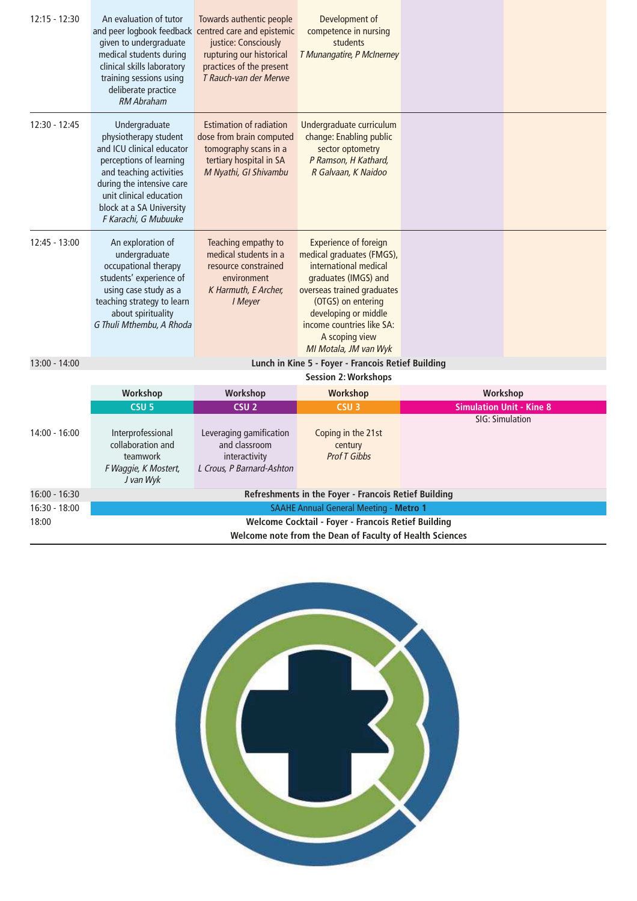| $12:15 - 12:30$ | An evaluation of tutor<br>and peer logbook feedback centred care and epistemic<br>given to undergraduate<br>medical students during<br>clinical skills laboratory<br>training sessions using<br>deliberate practice<br><b>RM Abraham</b> | Towards authentic people<br>justice: Consciously<br>rupturing our historical<br>practices of the present<br>T Rauch-van der Merwe       | Development of<br>competence in nursing<br>students<br>T Munangatire, P McInerney                                                                                                                                                                              |                 |                                 |
|-----------------|------------------------------------------------------------------------------------------------------------------------------------------------------------------------------------------------------------------------------------------|-----------------------------------------------------------------------------------------------------------------------------------------|----------------------------------------------------------------------------------------------------------------------------------------------------------------------------------------------------------------------------------------------------------------|-----------------|---------------------------------|
| $12:30 - 12:45$ | Undergraduate<br>physiotherapy student<br>and ICU clinical educator<br>perceptions of learning<br>and teaching activities<br>during the intensive care<br>unit clinical education<br>block at a SA University<br>F Karachi, G Mubuuke    | <b>Estimation of radiation</b><br>dose from brain computed<br>tomography scans in a<br>tertiary hospital in SA<br>M Nyathi, GI Shivambu | Undergraduate curriculum<br>change: Enabling public<br>sector optometry<br>P Ramson, H Kathard,<br>R Galvaan, K Naidoo                                                                                                                                         |                 |                                 |
| $12:45 - 13:00$ | An exploration of<br>undergraduate<br>occupational therapy<br>students' experience of<br>using case study as a<br>teaching strategy to learn<br>about spirituality<br>G Thuli Mthembu, A Rhoda                                           | Teaching empathy to<br>medical students in a<br>resource constrained<br>environment<br>K Harmuth, E Archer,<br>I Meyer                  | <b>Experience of foreign</b><br>medical graduates (FMGS),<br>international medical<br>graduates (IMGS) and<br>overseas trained graduates<br>(OTGS) on entering<br>developing or middle<br>income countries like SA:<br>A scoping view<br>MI Motala, JM van Wyk |                 |                                 |
| 13:00 - 14:00   |                                                                                                                                                                                                                                          |                                                                                                                                         | Lunch in Kine 5 - Foyer - Francois Retief Building                                                                                                                                                                                                             |                 |                                 |
|                 | Workshop                                                                                                                                                                                                                                 | Workshop                                                                                                                                | <b>Session 2: Workshops</b><br><b>Workshop</b>                                                                                                                                                                                                                 | Workshop        |                                 |
|                 | CSU <sub>5</sub>                                                                                                                                                                                                                         | CSU <sub>2</sub>                                                                                                                        | CSU <sub>3</sub>                                                                                                                                                                                                                                               |                 | <b>Simulation Unit - Kine 8</b> |
| 14:00 - 16:00   | Interprofessional<br>collaboration and<br>teamwork<br>F Waggie, K Mostert,<br>J van Wyk                                                                                                                                                  | Leveraging gamification<br>and classroom<br>interactivity<br>L Crous, P Barnard-Ashton                                                  | Coping in the 21st<br>century<br><b>Prof T Gibbs</b>                                                                                                                                                                                                           | SIG: Simulation |                                 |
| 16:00 - 16:30   | Refreshments in the Foyer - Francois Retief Building                                                                                                                                                                                     |                                                                                                                                         |                                                                                                                                                                                                                                                                |                 |                                 |

**Refreshments in the Foyer - Francois Retief Building**

SAAHE Annual General Meeting - **Metro 1 Welcome Cocktail - Foyer - Francois Retief Building Welcome note from the Dean of Faculty of Health Sciences**

16:30 - 18:00 18:00

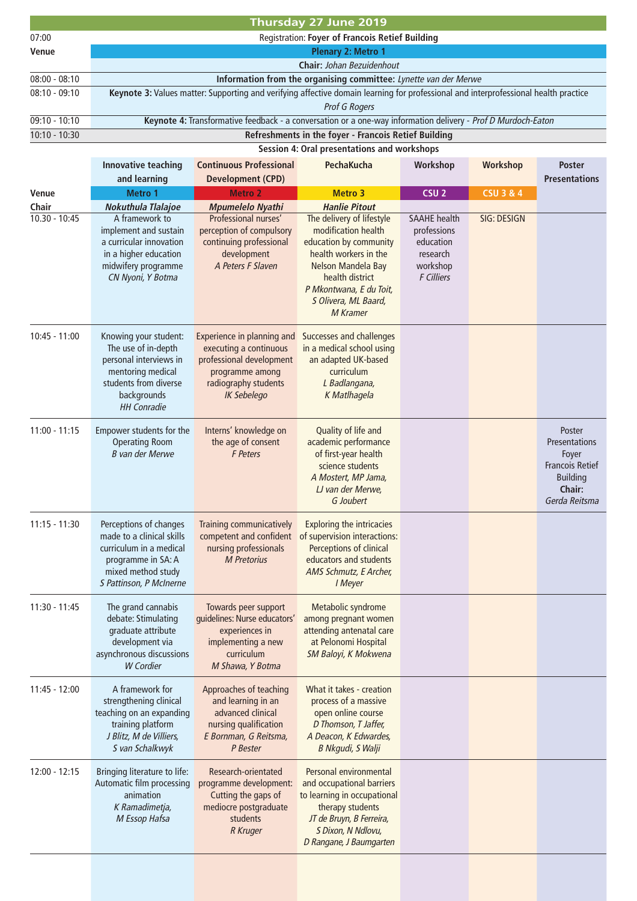|                 | Thursday 27 June 2019                                                                                                                                     |                                                                                                                                                   |                                                                                                                                                                                                                    |                                                                                              |                      |                                                                                                          |  |
|-----------------|-----------------------------------------------------------------------------------------------------------------------------------------------------------|---------------------------------------------------------------------------------------------------------------------------------------------------|--------------------------------------------------------------------------------------------------------------------------------------------------------------------------------------------------------------------|----------------------------------------------------------------------------------------------|----------------------|----------------------------------------------------------------------------------------------------------|--|
| 07:00           | Registration: Foyer of Francois Retief Building                                                                                                           |                                                                                                                                                   |                                                                                                                                                                                                                    |                                                                                              |                      |                                                                                                          |  |
| Venue           | <b>Plenary 2: Metro 1</b>                                                                                                                                 |                                                                                                                                                   |                                                                                                                                                                                                                    |                                                                                              |                      |                                                                                                          |  |
|                 |                                                                                                                                                           | Chair: Johan Bezuidenhout                                                                                                                         |                                                                                                                                                                                                                    |                                                                                              |                      |                                                                                                          |  |
| $08:00 - 08:10$ | Information from the organising committee: Lynette van der Merwe                                                                                          |                                                                                                                                                   |                                                                                                                                                                                                                    |                                                                                              |                      |                                                                                                          |  |
| $08:10 - 09:10$ |                                                                                                                                                           | Keynote 3: Values matter: Supporting and verifying affective domain learning for professional and interprofessional health practice               |                                                                                                                                                                                                                    |                                                                                              |                      |                                                                                                          |  |
|                 |                                                                                                                                                           |                                                                                                                                                   | <b>Prof G Rogers</b>                                                                                                                                                                                               |                                                                                              |                      |                                                                                                          |  |
| $09:10 - 10:10$ |                                                                                                                                                           | Keynote 4: Transformative feedback - a conversation or a one-way information delivery - Prof D Murdoch-Eaton                                      |                                                                                                                                                                                                                    |                                                                                              |                      |                                                                                                          |  |
| 10:10 - 10:30   |                                                                                                                                                           |                                                                                                                                                   | Refreshments in the foyer - Francois Retief Building                                                                                                                                                               |                                                                                              |                      |                                                                                                          |  |
|                 |                                                                                                                                                           |                                                                                                                                                   | Session 4: Oral presentations and workshops                                                                                                                                                                        |                                                                                              |                      |                                                                                                          |  |
|                 | Innovative teaching                                                                                                                                       | <b>Continuous Professional</b>                                                                                                                    | PechaKucha                                                                                                                                                                                                         | Workshop                                                                                     | <b>Workshop</b>      | Poster                                                                                                   |  |
|                 | and learning                                                                                                                                              | <b>Development (CPD)</b>                                                                                                                          |                                                                                                                                                                                                                    |                                                                                              |                      | <b>Presentations</b>                                                                                     |  |
| <b>Venue</b>    | Metro 1                                                                                                                                                   | <b>Metro 2</b>                                                                                                                                    | <b>Metro 3</b>                                                                                                                                                                                                     | CSU <sub>2</sub>                                                                             | <b>CSU 3 &amp; 4</b> |                                                                                                          |  |
| Chair           | Nokuthula Tlalajoe                                                                                                                                        | <b>Mpumelelo Nyathi</b>                                                                                                                           | <b>Hanlie Pitout</b>                                                                                                                                                                                               |                                                                                              |                      |                                                                                                          |  |
| 10.30 - 10:45   | A framework to<br>implement and sustain<br>a curricular innovation<br>in a higher education<br>midwifery programme<br>CN Nyoni, Y Botma                   | Professional nurses'<br>perception of compulsory<br>continuing professional<br>development<br>A Peters F Slaven                                   | The delivery of lifestyle<br>modification health<br>education by community<br>health workers in the<br>Nelson Mandela Bay<br>health district<br>P Mkontwana, E du Toit.<br>S Olivera, ML Baard,<br><b>M</b> Kramer | <b>SAAHE</b> health<br>professions<br>education<br>research<br>workshop<br><b>F</b> Cilliers | SIG: DESIGN          |                                                                                                          |  |
| 10:45 - 11:00   | Knowing your student:<br>The use of in-depth<br>personal interviews in<br>mentoring medical<br>students from diverse<br>backgrounds<br><b>HH Conradie</b> | Experience in planning and<br>executing a continuous<br>professional development<br>programme among<br>radiography students<br><b>IK Sebelego</b> | Successes and challenges<br>in a medical school using<br>an adapted UK-based<br>curriculum<br>L Badlangana,<br>K Matlhagela                                                                                        |                                                                                              |                      |                                                                                                          |  |
| $11:00 - 11:15$ | Empower students for the<br><b>Operating Room</b><br><b>B</b> van der Merwe                                                                               | Interns' knowledge on<br>the age of consent<br><b>F</b> Peters                                                                                    | Quality of life and<br>academic performance<br>of first-year health<br>science students<br>A Mostert, MP Jama,<br>LJ van der Merwe,<br>G Joubert                                                                   |                                                                                              |                      | Poster<br>Presentations<br>Foyer<br><b>Francois Retief</b><br><b>Building</b><br>Chair:<br>Gerda Reitsma |  |
| $11:15 - 11:30$ | Perceptions of changes<br>made to a clinical skills<br>curriculum in a medical<br>programme in SA: A<br>mixed method study<br>S Pattinson, P McInerne     | <b>Training communicatively</b><br>nursing professionals<br><b>M</b> Pretorius                                                                    | <b>Exploring the intricacies</b><br>competent and confident of supervision interactions:<br>Perceptions of clinical<br>educators and students<br>AMS Schmutz, E Archer,<br><b>I</b> Meyer                          |                                                                                              |                      |                                                                                                          |  |
| 11:30 - 11:45   | The grand cannabis<br>debate: Stimulating<br>graduate attribute<br>development via<br>asynchronous discussions<br><b>W</b> Cordier                        | Towards peer support<br>guidelines: Nurse educators'<br>experiences in<br>implementing a new<br>curriculum<br>M Shawa, Y Botma                    | Metabolic syndrome<br>among pregnant women<br>attending antenatal care<br>at Pelonomi Hospital<br>SM Baloyi, K Mokwena                                                                                             |                                                                                              |                      |                                                                                                          |  |
| $11:45 - 12:00$ | A framework for<br>strengthening clinical<br>teaching on an expanding<br>training platform<br>J Blitz, M de Villiers,<br>S van Schalkwyk                  | Approaches of teaching<br>and learning in an<br>advanced clinical<br>nursing qualification<br>E Bornman, G Reitsma,<br>P Bester                   | What it takes - creation<br>process of a massive<br>open online course<br>D Thomson, T Jaffer,<br>A Deacon, K Edwardes,<br><b>B Nkgudi, S Walji</b>                                                                |                                                                                              |                      |                                                                                                          |  |
| 12:00 - 12:15   | Bringing literature to life:<br>Automatic film processing<br>animation<br>K Ramadimetja,<br>M Essop Hafsa                                                 | Research-orientated<br>programme development:<br>Cutting the gaps of<br>mediocre postgraduate<br>students<br><b>R</b> Kruger                      | Personal environmental<br>and occupational barriers<br>to learning in occupational<br>therapy students<br>JT de Bruyn, B Ferreira,<br>S Dixon, N Ndlovu,<br>D Rangane, J Baumgarten                                |                                                                                              |                      |                                                                                                          |  |
|                 |                                                                                                                                                           |                                                                                                                                                   |                                                                                                                                                                                                                    |                                                                                              |                      |                                                                                                          |  |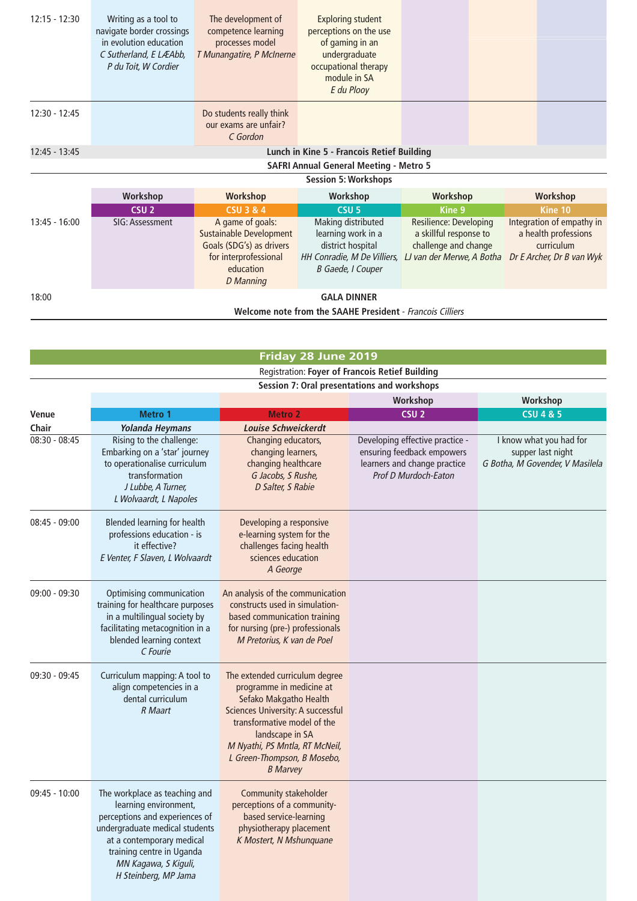| $12:15 - 12:30$ | Writing as a tool to<br>navigate border crossings<br>in evolution education<br>C Sutherland, E LÆAbb,<br>P du Toit, W Cordier | The development of<br>competence learning<br>processes model<br>T Munangatire, P McInerne                                                | <b>Exploring student</b><br>perceptions on the use<br>of gaming in an<br>undergraduate<br>occupational therapy<br>module in SA<br>E du Plooy |                                                                                                       |                                                                                              |
|-----------------|-------------------------------------------------------------------------------------------------------------------------------|------------------------------------------------------------------------------------------------------------------------------------------|----------------------------------------------------------------------------------------------------------------------------------------------|-------------------------------------------------------------------------------------------------------|----------------------------------------------------------------------------------------------|
| $12:30 - 12:45$ |                                                                                                                               | Do students really think<br>our exams are unfair?<br>C Gordon                                                                            |                                                                                                                                              |                                                                                                       |                                                                                              |
| 12:45 - 13:45   |                                                                                                                               |                                                                                                                                          | Lunch in Kine 5 - Francois Retief Building                                                                                                   |                                                                                                       |                                                                                              |
|                 |                                                                                                                               |                                                                                                                                          | <b>SAFRI Annual General Meeting - Metro 5</b>                                                                                                |                                                                                                       |                                                                                              |
|                 |                                                                                                                               |                                                                                                                                          | <b>Session 5: Workshops</b>                                                                                                                  |                                                                                                       |                                                                                              |
|                 | Workshop                                                                                                                      | <b>Workshop</b>                                                                                                                          | Workshop                                                                                                                                     | Workshop                                                                                              | Workshop                                                                                     |
|                 | CSU <sub>2</sub>                                                                                                              | <b>CSU 3 &amp; 4</b>                                                                                                                     | CSU <sub>5</sub>                                                                                                                             | Kine 9                                                                                                | <b>Kine 10</b>                                                                               |
| $13:45 - 16:00$ | SIG: Assessment                                                                                                               | A game of goals:<br><b>Sustainable Development</b><br>Goals (SDG's) as drivers<br>for interprofessional<br>education<br><b>D</b> Manning | Making distributed<br>learning work in a<br>district hospital<br>HH Conradie, M De Villiers,<br>B Gaede, I Couper                            | Resilience: Developing<br>a skillful response to<br>challenge and change<br>LJ van der Merwe, A Botha | Integration of empathy in<br>a health professions<br>curriculum<br>Dr E Archer, Dr B van Wyk |
| 18:00           | <b>GALA DINNER</b>                                                                                                            |                                                                                                                                          |                                                                                                                                              |                                                                                                       |                                                                                              |
|                 |                                                                                                                               |                                                                                                                                          | Welcome note from the SAAHE President - Francois Cilliers                                                                                    |                                                                                                       |                                                                                              |
|                 |                                                                                                                               |                                                                                                                                          |                                                                                                                                              |                                                                                                       |                                                                                              |

| Friday 28 June 2019 |                                                                                                                                                                                                                                      |                                                                                                                                                                                                                                                                 |                                                                                                                              |                                                                                 |  |  |
|---------------------|--------------------------------------------------------------------------------------------------------------------------------------------------------------------------------------------------------------------------------------|-----------------------------------------------------------------------------------------------------------------------------------------------------------------------------------------------------------------------------------------------------------------|------------------------------------------------------------------------------------------------------------------------------|---------------------------------------------------------------------------------|--|--|
|                     |                                                                                                                                                                                                                                      | Registration: Foyer of Francois Retief Building                                                                                                                                                                                                                 |                                                                                                                              |                                                                                 |  |  |
|                     | Session 7: Oral presentations and workshops                                                                                                                                                                                          |                                                                                                                                                                                                                                                                 |                                                                                                                              |                                                                                 |  |  |
|                     |                                                                                                                                                                                                                                      |                                                                                                                                                                                                                                                                 | Workshop                                                                                                                     | Workshop                                                                        |  |  |
| <b>Venue</b>        | Metro 1                                                                                                                                                                                                                              | <b>Metro 2</b>                                                                                                                                                                                                                                                  | CSU <sub>2</sub>                                                                                                             | <b>CSU 4 &amp; 5</b>                                                            |  |  |
| Chair               | Yolanda Heymans                                                                                                                                                                                                                      | <b>Louise Schweickerdt</b>                                                                                                                                                                                                                                      |                                                                                                                              |                                                                                 |  |  |
| $08:30 - 08:45$     | Rising to the challenge:<br>Embarking on a 'star' journey<br>to operationalise curriculum<br>transformation<br>J Lubbe, A Turner,<br>L Wolvaardt, L Napoles                                                                          | Changing educators,<br>changing learners,<br>changing healthcare<br>G Jacobs, S Rushe,<br>D Salter, S Rabie                                                                                                                                                     | Developing effective practice -<br>ensuring feedback empowers<br>learners and change practice<br><b>Prof D Murdoch-Eaton</b> | I know what you had for<br>supper last night<br>G Botha, M Govender, V Masilela |  |  |
| $08:45 - 09:00$     | Blended learning for health<br>professions education - is<br>it effective?<br>E Venter, F Slaven, L Wolvaardt                                                                                                                        | Developing a responsive<br>e-learning system for the<br>challenges facing health<br>sciences education<br>A George                                                                                                                                              |                                                                                                                              |                                                                                 |  |  |
| 09:00 - 09:30       | Optimising communication<br>training for healthcare purposes<br>in a multilingual society by<br>facilitating metacognition in a<br>blended learning context<br>C Fourie                                                              | An analysis of the communication<br>constructs used in simulation-<br>based communication training<br>for nursing (pre-) professionals<br>M Pretorius, K van de Poel                                                                                            |                                                                                                                              |                                                                                 |  |  |
| $09:30 - 09:45$     | Curriculum mapping: A tool to<br>align competencies in a<br>dental curriculum<br><b>R</b> Maart                                                                                                                                      | The extended curriculum degree<br>programme in medicine at<br>Sefako Makgatho Health<br>Sciences University: A successful<br>transformative model of the<br>landscape in SA<br>M Nyathi, PS Mntla, RT McNeil,<br>L Green-Thompson, B Mosebo,<br><b>B</b> Marvey |                                                                                                                              |                                                                                 |  |  |
| $09:45 - 10:00$     | The workplace as teaching and<br>learning environment,<br>perceptions and experiences of<br>undergraduate medical students<br>at a contemporary medical<br>training centre in Uganda<br>MN Kagawa, S Kiguli,<br>H Steinberg, MP Jama | <b>Community stakeholder</b><br>perceptions of a community-<br>based service-learning<br>physiotherapy placement<br>K Mostert, N Mshunquane                                                                                                                     |                                                                                                                              |                                                                                 |  |  |